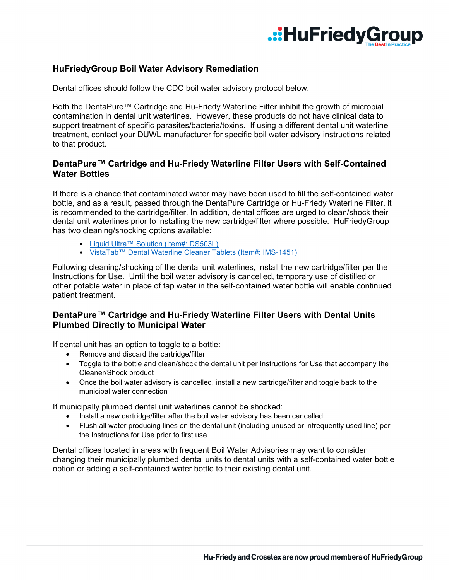

# **HuFriedyGroup Boil Water Advisory Remediation**

Dental offices should follow the CDC boil water advisory protocol below.

Both the DentaPure™ Cartridge and Hu-Friedy Waterline Filter inhibit the growth of microbial contamination in dental unit waterlines. However, these products do not have clinical data to support treatment of specific parasites/bacteria/toxins. If using a different dental unit waterline treatment, contact your DUWL manufacturer for specific boil water advisory instructions related to that product.

### **DentaPure™ Cartridge and Hu-Friedy Waterline Filter Users with Self-Contained Water Bottles**

If there is a chance that contaminated water may have been used to fill the self-contained water bottle, and as a result, passed through the DentaPure Cartridge or Hu-Friedy Waterline Filter, it is recommended to the cartridge/filter. In addition, dental offices are urged to clean/shock their dental unit waterlines prior to installing the new cartridge/filter where possible. HuFriedyGroup has two cleaning/shocking options available:

- [Liquid Ultra™ Solution \(Item#: DS503L\)](http://www.crosstex.com/liquid-ultratm-solution-104)
- [VistaTab™ Dental Waterline Cleaner Tablets \(Item#: IMS-1451\)](https://www.hu-friedy.com/infection-prevention-control-cleaning-care/dental-unit-waterline-cleaner/vistatab-dental-waterline)

Following cleaning/shocking of the dental unit waterlines, install the new cartridge/filter per the Instructions for Use. Until the boil water advisory is cancelled, temporary use of distilled or other potable water in place of tap water in the self-contained water bottle will enable continued patient treatment.

### **DentaPure™ Cartridge and Hu-Friedy Waterline Filter Users with Dental Units Plumbed Directly to Municipal Water**

If dental unit has an option to toggle to a bottle:

- Remove and discard the cartridge/filter
- Toggle to the bottle and clean/shock the dental unit per Instructions for Use that accompany the Cleaner/Shock product
- Once the boil water advisory is cancelled, install a new cartridge/filter and toggle back to the municipal water connection

If municipally plumbed dental unit waterlines cannot be shocked:

- Install a new cartridge/filter after the boil water advisory has been cancelled.
- Flush all water producing lines on the dental unit (including unused or infrequently used line) per the Instructions for Use prior to first use.

Dental offices located in areas with frequent Boil Water Advisories may want to consider changing their municipally plumbed dental units to dental units with a self-contained water bottle option or adding a self-contained water bottle to their existing dental unit.